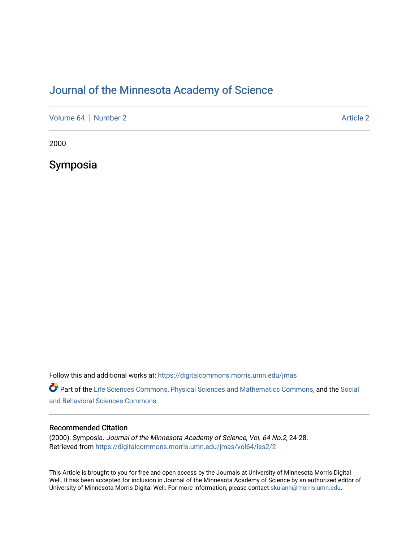# [Journal of the Minnesota Academy of Science](https://digitalcommons.morris.umn.edu/jmas)

[Volume 64](https://digitalcommons.morris.umn.edu/jmas/vol64) [Number 2](https://digitalcommons.morris.umn.edu/jmas/vol64/iss2) Article 2

2000

Symposia

Follow this and additional works at: [https://digitalcommons.morris.umn.edu/jmas](https://digitalcommons.morris.umn.edu/jmas?utm_source=digitalcommons.morris.umn.edu%2Fjmas%2Fvol64%2Fiss2%2F2&utm_medium=PDF&utm_campaign=PDFCoverPages) 

Part of the [Life Sciences Commons,](https://network.bepress.com/hgg/discipline/1016?utm_source=digitalcommons.morris.umn.edu%2Fjmas%2Fvol64%2Fiss2%2F2&utm_medium=PDF&utm_campaign=PDFCoverPages) [Physical Sciences and Mathematics Commons,](https://network.bepress.com/hgg/discipline/114?utm_source=digitalcommons.morris.umn.edu%2Fjmas%2Fvol64%2Fiss2%2F2&utm_medium=PDF&utm_campaign=PDFCoverPages) and the [Social](https://network.bepress.com/hgg/discipline/316?utm_source=digitalcommons.morris.umn.edu%2Fjmas%2Fvol64%2Fiss2%2F2&utm_medium=PDF&utm_campaign=PDFCoverPages)  [and Behavioral Sciences Commons](https://network.bepress.com/hgg/discipline/316?utm_source=digitalcommons.morris.umn.edu%2Fjmas%2Fvol64%2Fiss2%2F2&utm_medium=PDF&utm_campaign=PDFCoverPages) 

# Recommended Citation

(2000). Symposia. Journal of the Minnesota Academy of Science, Vol. 64 No.2, 24-28. Retrieved from [https://digitalcommons.morris.umn.edu/jmas/vol64/iss2/2](https://digitalcommons.morris.umn.edu/jmas/vol64/iss2/2?utm_source=digitalcommons.morris.umn.edu%2Fjmas%2Fvol64%2Fiss2%2F2&utm_medium=PDF&utm_campaign=PDFCoverPages)

This Article is brought to you for free and open access by the Journals at University of Minnesota Morris Digital Well. It has been accepted for inclusion in Journal of the Minnesota Academy of Science by an authorized editor of University of Minnesota Morris Digital Well. For more information, please contact [skulann@morris.umn.edu](mailto:skulann@morris.umn.edu).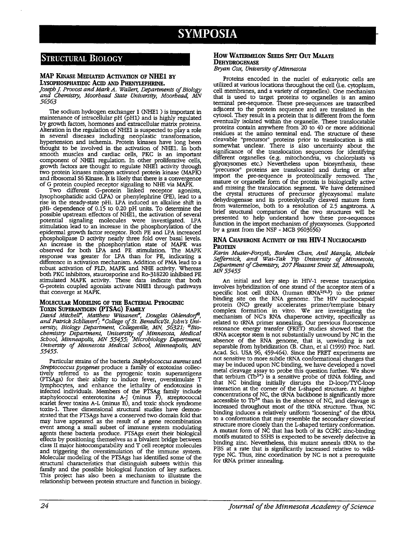# **SYMPOSIA**

# **STRUCTURAL BIOLOGY**

### **MAP KINASE MEDIATED ACTIVATION OF NHEl BY LYSOPHOSPHATIDIC Acm AND PHENYLEPHRINE.**

*Joseph* J. *Provost and Mark A. Wallert, Departments of Biology and Chemistry, Moorhead State University, Moorhead, MN 56563* 

The sodium hydrogen exchanger **1** (NHEl ) is important in maintenance of intracellular pH (pH1) and is highly regulated by growth factors, hormones and extracellular matrix proteins. Alteration in the regulation of NHEl is suspected to play a *:ole*  in several diseases including neoplastic transformation, hypertension and ischemia. Protein kinases have long been thought to be involved in the activation of NHE1. In both smooth muscles and cardiac cells, PKC is an important component of NHEl regulation. In other proliferative cells, growth factors are thought to regulate NHE1 activity through two protein kinases mitogen activated protein kinase (MAPK) and ribosomal S6 Kinase. It is likely that there is a convergence of G protein coupled receptor signaling to NHE via MAPK.

Two different G-protein linked receptor agomsts, Iysophosphatidic acid (LPA) or phenylephrine (PE), lead to a rise in the steady-state pHi. LPA induced an alkaline shift in pHi- dependence of 0.15 to 0.20 pH units. To determine the possible upstream effectors of NHE1, the activation of several potential signaling molecules were investigated. LPA stimulation lead to an increase in the phosphorylation of the epidermal growth factor receptor. Both PE and LPA increaced phospholipase D activity nearly three fold over basal levels. An increase in the phosphorylation state of MAPK was observed for both LPA and PE stimulation. The MAPK response was greater for LPA than for PE, indicating a difference in activation mechanism. Addition of PMA lead to a robust activation of PLO, MAPK and NHE activity. Whereas both PKC inhibitors, staurosporine and Ro-318220 inhibited PE stimulated MAPK activity. These data indicate that both G-protein coupled agonists activate NHEl through pathways that converge at MAPK.

### **MOLECULAR MODELING OF THE BACTERIAL PYROGENIC TOXIN SUPERANTIGEN (PTSAG) FAMILY**

*David Mitchell", Matthew Wiisanen", Douglas Ohlendory@, and Patrick Schlievert'; "College of St. Benedict/St.John's Uni*versity, Biology Department, Collegeville, MN, 56321; <sup>@</sup>Bio*chemistry Department, University\_ of Minnesota, Medical School, Minneapolis, MN 55455; Microbiology Department, University of Minnesota Medical School, Minneapolis, MN 55455.* 

Particular strains of the bacteria *Staphylococcus aureus* and *Streptococcus pyogenes* produce a family of exotoxins collectively referred to as the pyrogenic toxin superantigens (PTSAgs) for their ability to induce fever, overstimulate T lymphocytes, and enhance the lethality of endotoxins in infected individuals. Members of the PTSAg family include staphylococcal enterotoxins A-J (minus F), streptococcal scarlet fever toxins A-L (minus B), and toxic shock syndrome toxin-I. Three dimensional structural studies have demonstrated that the PTSAgs have a conserved two domain fold that may have appeared as the result of a gene recombination event among a small subset of immune system modulating agents these bacteria produce. PTSAgs exert their biological effects by positioning themselves as a bivalent bridge between class II major histocompatability and T cell receptor molecules and triggering the overstimulation of the immune system. Molecular modeling of the PTSAgs has identified some of the structural characteristics that distinguish subsets within this family and the possible biological function of key surfaces. This project has also been a mechanism to illustrate the relationship between protein structure and function in biology.

# **How WATERMELON SEEDS SPIT OUT MAI.ATE DEHYDROGENASE**

*Bryan Co~ University of Minnesota* 

Proteins encoded in the nuclei of eukaryotic cells are utilized at various locations throughout the cell (i.e. cytoplasm, cell membranes, and a variety of organelles). One mechanism that is used to target proteins to organelles is an amino terminal pre-sequence. These pre-sequences are transcribed adjacent to the protein sequence and are translated in the cytosol. They result in a protein that is different from the form eventually isolated within the organelle. These translocatable proteins contain anywhere from 20 to 40 or more additional residues at the amino terminal end. The structure of these cleavable "precursor" proteins prior to translocation is still somewhat unclear. There is also uncertainty about the significance of the translocation sequences for identifying different organelles (e.g. mitochondria, vs cholorplasts vs glyoxysomes etc.) Nevertheless upon biosynthesis, these "precursor" proteins are translocated and during or after import the pre-sequence is proteolitically removed. The mature or organelle form of the protein is biologically active and missing the translocation segment. We have determined the crystal structures of precursor glyoxysomal malate dehydrogenase and its proteolytically cleaved mature form from watermelon, both to a resolution of 2.5 angstroms. A brief structural comparison of the two structures will be presented to help understand how these pre-sequences function in the import mechanism of glyoxysomes. (Supported by a grant from the NSF - MCB 9603656)

## **RNA CHAPERONE ACTIVITY OF THE HIV-I NUCLEOCAPSID PROTEIN**

*Karin Muster-Forsyth, Barden Chan, Anil Mang/a, Michele Seffernick and Wai-Tak Yip University of Minnesota, Depart~t of Chemistry, 207 Pleasant Street SE, Minneapolis, MN55455* 

An initial and key step in HIV-1 reverse transcription involves hybridization of one strand of the acceptor stem of a involves hybridization of one strand of the acceptor stem of a specific host cell tRNA (human tRNA<sup>Lys,3</sup>) to the primer binding site on the RNA genome. The HIV nucleocapsid protein (NC) greatly accelerates primer/template binary complex formation in vitro. We are investigating the mechanism of NC's RNA chaperone activity, specifically as related to tRNA primer annealing. Our previous fluorescence resonance energy transfer (FRET) studies showed that the tRNA acceptor stem is not substantially unwound by NC in the absence of the RNA genome, that is, unwinding is not separable from hybridization (B. Chan, et al (1999) Proc. Natl. not sensitive to more subtle tRNA conformational changes that may be induced upon NC binding, we have developed a novel metal cleavage assay to probe this question further. We show that terbium  $(Tb<sup>3+</sup>)$  is a sensitive probe of tRNA folding, and that NC binding initially disrupts the D-loop/TYC-loop interaction at the comer of the L-shaped structure. At higher concentrations of NC, the tRNA backbone is significantly more accessible to  $\text{Tb}^{3+}$  than in the absence of NC, and cleavage is increased throughout most of the tRNA structure. Thus, NC binding induces a relatively uniform "loosening" of the tRNA to a conformation that may resemble the secondary cloverleaf structure more closely than the L-shaped tertiary conformation. A mutant form of NC that has both of its CCHC zinc-binding motifs mutated to SSHS is expected to be severely defective in binding zinc. Nevertheless, this mutant anneals tRNA to the PBS at a rate that is significantly increased relative to wildtype NC. Thus, zinc coordination by NC is not a prerequisite for tRNA primer annealing.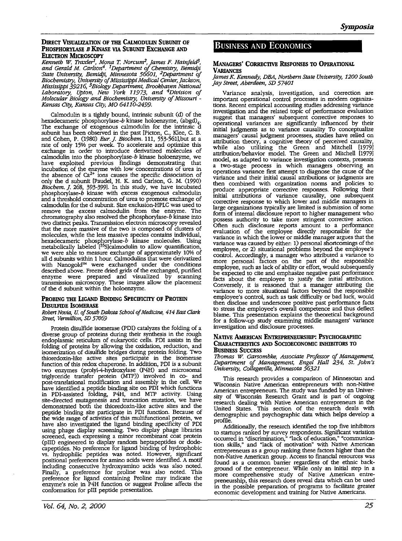## **DIRECT VISUALIZATION OF THE CALMODULIN SUBUNIT OF PHOSPHORYLASE** *B* **KINASE VIA SUBUNIT ExCHANGE AND ELECTRON MICROSCOPY**

*Kenneth W. Trax!er1, Mona* T. *Norcum2, James F. Hainfeld3, and Gerald M. Carlson4. 1 Department of Chemistry, Bemidji -State University, Bemidji, Minnesota 56601,* <sup>2</sup>*Department of Biochemistry. University of Mississippi Medical Center, Jackson, Mississippi 39216, 3Biology Department, Brookhaven National Laboratory, Upton, New York 11973, and* <sup>4</sup>*Division of Molecular Biology and Biochemistry, University of Missouri* - *Kansas City, Kansas City, MO 64110-2499.* 

Calmodulin is a tightly bound, intrinsic subunit (d) of the hexadecameric phosphorylase-*b* kinase holoenzyme, (abgd)<sub>4</sub>. The exchange of exogenous calmodulin for the intrinsic d subunit has been observed in the past [Picton, C., Klee, C. B. and Cohen, P. (1980) *Eur. J. Biochem.* 111, 553-561],but at a<br>rate of only 15% per week. To accelerate and optimize this exchange in order to introduce derivatized molecules of calmodulin into the phosphorylase-b kinase holoenzyme, we have exploited previous findings demonstrating that incubation of the enzyme with low concentrations of urea in the absence of  $Ca^{2+}$  ions causes the specific dissociation of only the d subunit [Paudel, H. K and Carlson, G. M. (1990) *Biochem. ].* 268, 393-399]. In this study, we have incubated phosphorylase-b kinase with excess exogenous calmodulin and a threshold concentration of urea to promote exchange of calmodulin for the d subunit. Size exclusion-HPLC was used to remove the excess calmodulin from the enzyme. The chromatography also resolved the phosphorylase-b kinase into two distinct peaks. Transmission electron microscopy revealed that the more massive of the two is composed of clusters of molecules, while the less massive species contains individual, hexadecameric phosphorylase- $b$  kinase molecules. Using metabolically labeled  $\left[^{35}S$ calmodulin to allow quantification, we were able to measure exchange of approximately 10% of all d subunits within 1 hour. Calmodulins that were derivatized with Nanogold™ were exchanged under the conditions described above. Freeze dried grids of the exchanged, purified enzyme were prepared and visualized by scanning transmission microscopy. These images allow the placement of the d subunit within the holoenzyme.

# PROBING THE LIGAND BINDING SPECIFICITY OF PROTEIN **DISULFIDE lsOMERASE**

*Robert Navia,* U. *of South Dakota School of Medicine, 414 FAst Clark Street, Vermillion, SD 57069* 

Protein disulfide isomerase (PDI) catalyzes the folding of a diverse group of proteins during their synthesis in the rough endoplasmic reticulum of eukaryotic cells. PDI assists in the folding of proteins by allowing the oxidation, reduction, and isomerization of disulfide bridges during protein folding. Two thioredoxin-like active sites participate in the isomerase function of this redox chaperone. In addition, PDI is a subunit two enzymes (prolyl-4-hydroxylase (P4H) and microsomal triglyceride transfer protein (MTP)) involved in co- and post-translational modification and assembly in the cell. We have identified a peptide binding site on PDI which functions in PDI-assisted folding, P4H, and MTP activity. Using site-directed mutagenesis and truncation mutation, we have demonstrated both the thioredoxin-like active sites and the peptide binding site participate in PDI function. Because of the wide range of activities of this multifunctional protein, we the wide range of activities of the ligand binding specificity of PDI using phage display screening. Two display phage libraries screened, each expressing a minor recombinant coat protein (pIII) engineered to display random heptapeptides or dodecapeptides. No preference for ligand binding of hydrophobic vs. hydrophilic peptides was noted. However, significant positional preferences for amino acids were identified. A motif including consecutive hydroxyamino acids was also noted. Finally, a preference for proline was also noted. This preference for ligand containing Proline may indicate the enzyme's role in P4H function or suggest Proline affects the conformation for pIII peptide presentation.

# BUSINESS AND ECONOMICS

# **MANAGERS' CORRECTIVE REsPONSES TO OPERATIONAL VARIANCES**

#### *James K. Kennedy, DBA, Northern State University, 1200 South Jay Street, Aberdeen, SD 57401*

Variance analysis, investigation, and correction are important operational control processes in modern organizations. Recent empirical accounting studies addressing variance investigation and the related topic of performance evaluation suggest that managers' subsequent corrective responses to operational variances are significantly influenced by their initial judgments as to variance causality To conceptualize managers' causal judgment processes, studies have relied on attribution theory, a cognitive theory of perceived causality, while also utilizing the Green and Mitchell [19791 where also unimize the Green and Mitchell [1979]<br>attribution/behavior model. The Green and Mitchell [1979] a two-stage process in which managers observing an operations variance first attempt to diagnose the cause of the variance and their initial causal attributions or judgments are then combined with organization norms and policies to produce appropriate corrective responses. Following their initial attributions of variance causality, one subsequent corrective response to which lower and middle managers in large organizations typically are limited is submission of some form of internal disclosure report to higher management who possess authority to take more stringent corrective action. Often such disclosure reports amount to a performance evaluation of the employee directly responsible for the variance in which the lower or middle manager argues that the variance was caused by either: 1) personal shortcomings of the employee, or 2) situational problems beyond the employee's control. Accordingly, a manager who attributed a vanance to more personal factors on the part of the responsible employee, such as lack of ability or effort, would subsequently be expected to cite and emphasize negative past performance facts about the employee to justify the initial attribution. Conversely, it is reasoned that a manager attributing the variance to more situational factors beyond the responsible employee's control, such as task difficulty or bad luck, would then disclose and underscore positive past performance facts to stress the employee's overall competence and thus deflect blame. This presentation explains the theoretical background for a follow-up study examining middle managers' variance investigation and disclosure processes.

#### **NATIVE AMERICAN ENTREPRENEURSHIP: PSYCHOGRAPHIC CHARACTERISTICS AND SOCIOECONOMIC INHIBITORS TO BUSINESS SUCCESS**

*Tbomas W. Garsombke, Associate Professor of Management, Department of Management, Engel Hall 234, St. John's University, Collegeville, Minnesota 56321* 

This research provides a comparison of Minnesotan and Wisconsin Native American entrepreneurs with non-Native American entrepreneurs. The study was funded by an University of Wisconsin Research Grant and is part of ongoing research dealing with Native American entrepreneurs in the United States. This section of the research deals with demographic and psychographic data which helps develop a

Additionally, the research identified the top five inhibitors to startups ranked by survey respondents. Significant variation occurred in "discrimination," "lack of education," "communication skills," and "lack of motivation" with Native American entrepreneurs as a group ranking these factors higher than the non-Native American group. Access to financial resources was found as a common barrier regardless of the ethnic background of the entrepreneur. While only an initial step in a more comprehensive study of Native American entrepreneurship, this research does reveal data which can be used in the possible preparation of programs to facilitate greater economic development and trammg for Native Americans.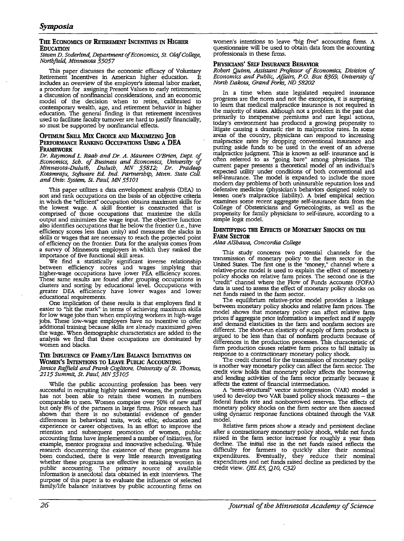# **Tm: ECONOMICS OF RETIREMENT INCENTIVES** IN **HIGHER EDUCATION**

#### *Steven D. Soderlind, Department of Economics, St. Olaf College, Northfield, Minnesota 55057*

This paper discusses the economic efficacy of Voluntary<br>irement Incentives in American higher education. It Retirement Incentives in American higher education. includes an overview of the employer's internal labor market, a discussion of nonfinancial considerations, and an economic model of the decision when to retire, calibrated to contemporary wealth, age, and retirement behavior in higher education. The general finding is that retirement incentives used to facilitate faculty turnover are hard to justify financially, so must be supported by nonfinancial effects.

### **OPTIMUM SKILL Mix CHOICE AND MAxlMizING JOB PERFORMANCE RANKING OCCUPATIONS USING A DEA fRAMEwORK**

*Dr. Raymond L. Raab and Dr. A. Maureen O'Brien, Dept. of Economics, Sch. of Business and Economics, University of Minnesota-Duluth, Duluth, MN 55812; Dr. Pradeep Kotamraju, Software Ed. Ind. Partnership, Minn. State Coll. and Univ. System, St. Paul, MN 55101* 

This paper utilizes a data envelopment analysis (DEA) to sort and rank occupations on the basis of an objective criteria in which the "efficient" occupation obtains maximum skills for the lowest wage. A skill frontier is constructed that is comprised of those occupations that maximize the skills output and minimizes the wage input. The objective function also identifies occupations that lie below the frontier (i.e., have efficiency scores less than unity) and measures the slacks in skills or wages that are necessary to reach the projected point of efficiency on the frontier. Data for the analysis comes from a survey of Minnesota employers in which they ranked the importance of five functional skill areas.

We find a statistically significant inverse relationship between efficiency scores and wages implying that higher-wage occupations have lower PEA efficiency scores. higher-wage occupations have lower PEA efficiency scores. These same results are found after grouping occupations in clusters and sorting by educational level. Occupations with greater DEA efficiency have lower wages and lower educational requirements.

One implication of these results is that employers find it easier to "hit the mark" in terms of achieving maximum skills for low wage jobs than when employing workers in high-wage jobs. These low-wage employers have no incentive to offer additional training because skills are already maximized given the wage. When demographic characteristics are added to the analysis we find that these occupations are dominated by women and blacks.

# THE INFLUENCE OF FAMILY/LIFE BALANCE INITIATIVES ON **WOMEN'S INTENTIONS TO LEAVE PUBLIC ACCOUNTING**

*Janice Raffield and Frank Coglitore, University of St. Thomas, 2115 Summit, St. Paul, MN 55105* 

While the public accounting profession has been very successful in recruiting highly talented women, the profession has not been able to retain these women in numbers comparable to men. Women comprise over 50% of new staff but only 8% of the partners in large firms. Prior research has shown that there is no substantial evidence of gender differences in behavioral traits, work ethic, education and experience or career objectives. In an effort to improve the retention and subsequent promotion of women, public accounting firms have implemented a number of initiatives, for example, mentor programs and innovative scheduling. While research documenting the existence of these programs has been conducted, there is very little research investigating whether these programs are effective in retaining women in public accounting. The primary source of available information is anecdotal data obtained in exit interviews. The purpose of this paper is to evaluate the influence of selected family/life balance initiatives by public accounting firms on

women's intentions to leave "big five" accounting firms. A questionnaire will be used to obtain data from the accounting professionals in these firms.

# **PHYSICIANS' SELF INSURANCE BEHAVIOR**

*Robert Quinn, Assistant Professor of Economics, Division of Economics and Public, Affairs, P.O. Box 8369, University of North Dakota, Grand Forks, ND 58202* 

In a time when state legislated required insurance programs are the norm and not the exception, it is surprising to learn that medical malpractice insurance is not required in the majority of states. Although not a problem in the past due primarily to inexpensive premiums and rare legal actions, today's environment has produced a growing propensity to litigate causing a dramatic rise in malpractice rates. In some litigate causing a dramatic rise in malpractice rates. In some areas of the country, physicians can respond to increasing malpractice rates by dropping conventional insurance and putting aside funds to be used in the event of an adverse malpractice judgment. This is known as self- insurance and is often referred to as "going bare" among physicians. The current paper presents a theoretical model of an individual's expected utility under conditions of both conventional and self-insurance. The model is expanded to include the more modern day problems of both uninsurable reputation loss and defensive medicine (physician's behaviors designed solely to lessen one's malpractice liability). A brief empirical section examines some recent aggregate self-insurance data from the College of Obstetricians and Gynecologists, as well as the propensity for family physicians to self-insure, according to a simple logit model.

### **IDENTIFYING THE EFFECTS OF MONETARY SHOCKS ON THE FARM SECTOR**

#### *Alaa A!Shawa, Concordia College*

This study concerns two potential channels for the transmission of monetary policy to the farm sector in the United States. The first one is the "money," channel where a relative-price model is used to explain the effect of monetary policy shocks on relative farm prices. The second one is the "credit" channel where the Flow of Funds Accounts (FOFA) data is used to assess the effect of monetary policy shocks on net funds raised in the farm sector.

The equilibrium relative-price model provides a linkage between monetary policy shocks and relative farm prices. The model shows that monetary policy can affect relative farm prices if aggregate price information is imperfect and if supply different. The short-run elasticity of supply of farm products is argued to be less than that of nonfarm products because of differences in the production processes. This characteristic of farm production causes relative farm prices to fall initially in response to a contractionary monetary policy shock.

The credit channel for the transmission of monetary policy is another way monetary policy can affect the farm sector. The credit view holds that monetary policy affects the borrowing and lending activities of the farm sector primarily because it affects the extent of financial intermediation.

A "semi-structural" vector autoregression (VAR) model is used to develop two VAR based policy shock measures - the federal funds rate and nonborrowed reserves. The effects of monetary policy shocks on the farm sector are then assessed using dynamic response functions obtained through the VAR model.

Relative farm prices show a steady and persistent decline after a contractionary monetary policy shock, while net funds raised in the farm sector increase for roughly a year then decline. The initial rise in the net funds raised reflects the difficulty for farmers to quickly alter their nominal expenditures. Eventually, they reduce their nominal expenditures and net funds raised decline as predicted by the credit view. (*JEL E5*, Q10, C32)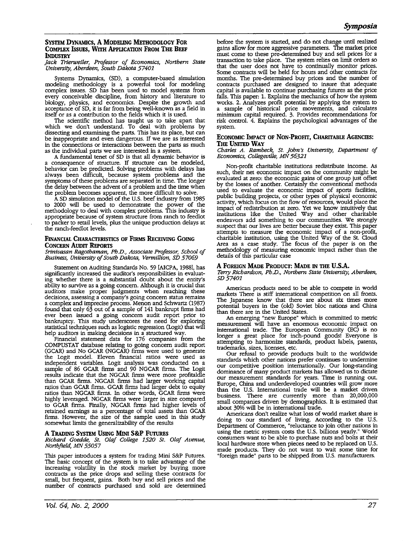### **SYSTEM DYNAMICS, A MODELING METHODOLOGY FOR COMPLEX ISSUES, WITH APPLICATION FROM THE BEEF INDUSTRY**

*Jack Trierweiler, Professor of Economics, Northern State University, Aberdeen, South Dakota 57401* 

Systems Dynamics, (SD), a computer-based simulation modeling methodology is a powerful tool for modeling complex issues. SD has been used to model systems from every conceivable discipline, from history and literature to biology, physics, and economics. Despite the growth and acceptance of SD, it is far from being well-known as a field in itself or as a contribution to the fields which it is used.

The scientific method has taught us to take apart that which we don't understand. To deal with problems by dissecting and examining the parts. This has its place, but can be inappropriate and even dangerous. If we are as interested in the connections or interactions between the parts as much as the individual parts we are interested in a system.

consequence of structure. If structure can be modeled, behavior can be predicted. Solving problems with delays has always been difficult, because system problems and the symptoms of these problems are separated in time. The longer the delay between the advent of a problem and the time when the problem becomes apparent, the more difficult to solve.

A SD simulation model of the U.S. beef industry from 1985 to 2000 will be used to demonstrate the power of the methodology to deal with complex problems. This industry is appropriate because of system structure from ranch to feedlot to packer to retail levels, plus the unique production delays at the ranch-feedlot levels.

# **FINANCIAL CHARACTERISTICS OF FIRMS RECEIVING GOING CONCERN AUDIT REPORTS**

*Srinivasan Ragothaman, Ph.D., Associate Professor, School of Business, University of South Dakota, Vermillion, SD 57069* 

Statement on Auditing Standards No. 59 [AICPA, 1988], has significantly increased the auditor's responsibilities in evaluating whether there is a substantial doubt about the entity's ability to survive as a going concern. Although it is crucial that auditors make proper judgments when reaching these decisions, assessing a company's going concern status remains<br>a complex and imprecise process. Menon and Schwartz (1987) found that only 63 out of a sample of 141 bankrupt firms had ever been issued a going concern audit report prior to bankruptcy. This study underscores the need for exploring statistical techniques such as logistic regression (Logit) that will help auditors in making decisions in a structured way.

Financial statement data for 176 companies from the COMPUSTAT database relating to going concern audit report (GCAR) and No GCAR (NGCAR) firms were used to generate independent variables. Logit analysis was conducted on a sample of 86 GCAR firms and 90 NGCAR firms. The Logit results indicate that the NGCAR firms were more profitaldle than GCAR firms. NGCAR firms had larger working capital ratios than GCAR firms. GCAR firms had larger debt to equity ratios than NGCAR firms. In other words, GCAR firms were highly leveraged. NGCAR firms were larger in size compared to GCAR firms. Finally, NGCAR firms had higher levels of retained earnings as a percentage of total assets than GCAR firms. However, the size of the sample used in this study somewhat limits the generalizability of the results

# **A TRADING SYSTEM USING MINI S&P FuTuREs**

*Richard Goedde, St. Olaf College 1520 St. Olaf Avenue, North.field, MN 55057* 

This paper introduces a system for trading Mini S&P Futures. The basic concept of the system is to take advantage of the increasing volatility in the stock market by buying more mcreasmg volatility m the stock market by buying more contracts as the price drops and selling these contracts for small, but frequent, gains. Both buy and sell prices and the number of contracts purchased and sold are determined before the system is started, and do not change until realized gains allow for more aggressive parameters. The market price transaction to take place. The system relies on limit orders so that the user does not have to continually monitor prices. Some contracts will be held for hours and other contracts for months. The pre-determined buy prices and the number of contracts purchased are designed to insure that adequate capital is available to continue purchasing futures as the price falls. This paper: 1. Explains the mechanics of how the system works. 2. Analyzes profit potential by applying the system to works. 2. Analyzes profit potential by applying the system to a sample of historical price movements, and calculates minimum capital required. 3. Provides recommendations for risk control. 4. Explains the psychological advantages of the system.

#### **ECONOMIC IMPACT OF NON-PROFIT, CHARITABLE AGENCIES: Tm: UNITED WAY**

Charles A. Rambeck, St. John's University, Department of *Economics, Collegeville, MN 56321* 

Non-profit charitable institutions redistribute income. As such, their net economic impact on the community might be evaluated at zero: the economic gains of one group just offset by the losses of another. Certainly the conventional methods used to evaluate the economic impact of sports facilities, public building projects, or other types of physical economic activity, which focus on the flow of resources, would place the impact of redistribution at zero. Yet we know intuitively that institutions like the United Way and other charitable endeavors add something to our communities. We strongly suspect that our lives are better because they exist. This paper attempts to measure the economic impact of a non-profit, charitable institution, using the United Way of the St. Cloud Area as a case study. The focus of the paper is on the methodology of measuring economic impact rather than the details of this particular case

# **A FOREIGN MADE PRODUCT: MADE** IN **THE U.S.A.**

*Terry Richardson, Ph.D., Northern State University Aberdeen SD57401* ' '

American products need to be able to compete in world markets There is stiff international competition on all fronts.<br>The Japanese know that there are about six times more potential buyers in the (old) Soviet bloc nations and China than there are in the United States.

An emerging "new Europe" which is committed to metric<br>measurement will have an enormous economic impact on measurement will have an enormous economic impact on international trade. The European Community (EC) is no longer a great place for inch-pound goods! Everyone is attempting to harmonize standards, product labels, patents, trademarks, sizes, licenses, etc.

Our refusal to provide products built to the worldwide standards which other nations prefer continues to undermine our competitive position internationally. Our long-standing our competitive position internationally. Our long-standing dominance of many product markets has allowed us to dictate our measurement standards for years. Time is running out. Europe, China and underdeveloped countries w Europe, China and underdeveloped countries will grow more than the U.S. International trade will be a market driven business. There are currently more than 20,000,000 small companies driven by demographics. It is estimated that about 30% will be in international trade.

Americans don't realize what loss of world market share is doing to our standard of living. According to the U.S. Department of Commerce, "reluctance to join other nations in using the metric system costs the U.S. billions yearly." World consumers want to be able to purchase nuts and bolts at their consumers want to be able to purchase nuts and bolts at their<br>local hardware store when pieces need to be replaced on U.S. made products. They do not want to wait some time for "foreign made" parts to be shipped from U.S. manufacturers.